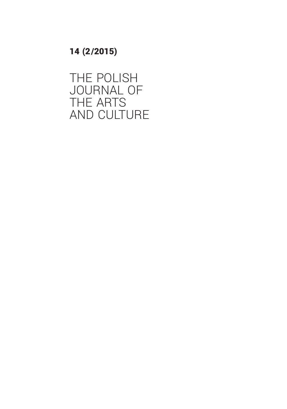14 (2 /2015)

THE POLISH JOURNAL OF THE ARTS AND CULTURE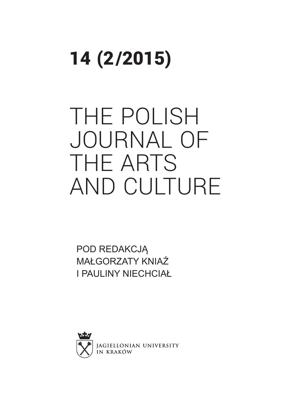# 14 (2 /2015)

# THE POLISH JOURNAL OF THE ARTS AND CULTURE

POD REDAKCJĄ MAŁGORZATY KNIAŹ I PAULINY NIECHCIAŁ

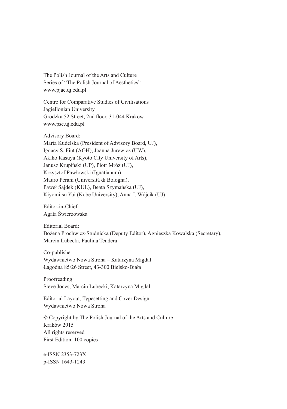The Polish Journal of the Arts and Culture Series of "The Polish Journal of Aesthetics" www.pjac.uj.edu.pl

Centre for Comparative Studies of Civilisations Jagiellonian University Grodzka 52 Street, 2nd floor, 31-044 Krakow www.psc.uj.edu.pl

Advisory Board: Marta Kudelska (President of Advisory Board, UJ), Ignacy S. Fiut (AGH), Joanna Jurewicz (UW), Akiko Kasuya (Kyoto City University of Arts), Janusz Krupiński (UP), Piotr Mróz (UJ), Krzysztof Pawłowski (Ignatianum), Mauro Perani (Università di Bologna), Paweł Sajdek (KUL), Beata Szymańska (UJ), Kiyomitsu Yui (Kobe University), Anna I. Wójcik (UJ)

Editor-in-Chief: Agata Świerzowska

Editorial Board: Bożena Prochwicz-Studnicka (Deputy Editor), Agnieszka Kowalska (Secretary), Marcin Lubecki, Paulina Tendera

Co-publisher: Wydawnictwo Nowa Strona – Katarzyna Migdał Łagodna 85/26 Street, 43-300 Bielsko-Biała

Proofreading: Steve Jones, Marcin Lubecki, Katarzyna Migdał

Editorial Layout, Typesetting and Cover Design: Wydawnictwo Nowa Strona

© Copyright by The Polish Journal of the Arts and Culture Kraków 2015 All rights reserved First Edition: 100 copies

e-ISSN 2353-723X p-ISSN 1643-1243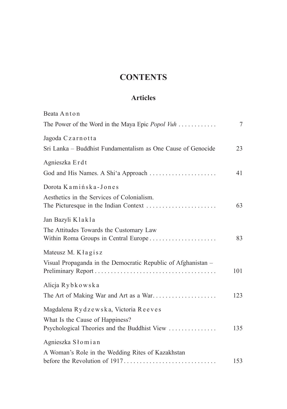### **CONTENTS**

#### **Articles**

| Beata Anton                                                                     |     |
|---------------------------------------------------------------------------------|-----|
| The Power of the Word in the Maya Epic <i>Popol Vuh</i>                         | 7   |
| Jagoda Czarnotta                                                                |     |
| Sri Lanka – Buddhist Fundamentalism as One Cause of Genocide                    | 23  |
| Agnieszka Erdt                                                                  |     |
|                                                                                 | 41  |
| Dorota Kamińska-Jones                                                           |     |
| Aesthetics in the Services of Colonialism.                                      | 63  |
| Jan Bazyli Klakla                                                               |     |
| The Attitudes Towards the Customary Law<br>Within Roma Groups in Central Europe | 83  |
| Mateusz M. Kłagisz                                                              |     |
| Visual Propaganda in the Democratic Republic of Afghanistan -                   | 101 |
| Alicja Rybkowska                                                                |     |
| The Art of Making War and Art as a War                                          | 123 |
| Magdalena Rydzewska, Victoria Reeves                                            |     |
| What Is the Cause of Happiness?                                                 |     |
| Psychological Theories and the Buddhist View                                    | 135 |
| Agnieszka Słomian                                                               |     |
| A Woman's Role in the Wedding Rites of Kazakhstan                               |     |
|                                                                                 | 153 |